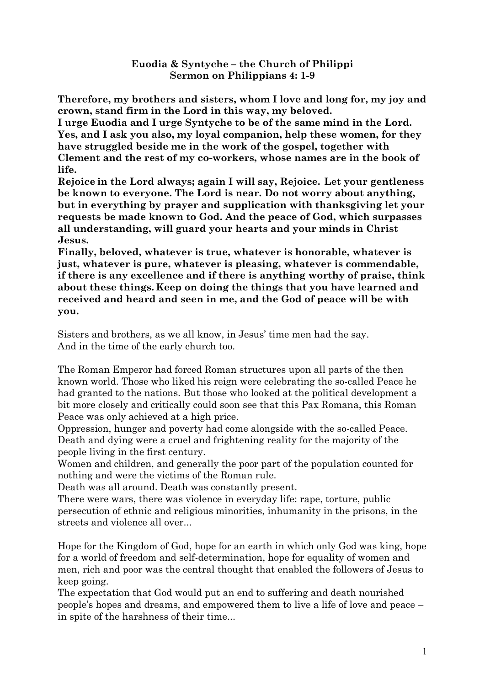## **Euodia & Syntyche – the Church of Philippi Sermon on Philippians 4: 1-9**

**Therefore, my brothers and sisters, whom I love and long for, my joy and crown, stand firm in the Lord in this way, my beloved.**

**I urge Euodia and I urge Syntyche to be of the same mind in the Lord. Yes, and I ask you also, my loyal companion, help these women, for they have struggled beside me in the work of the gospel, together with Clement and the rest of my co-workers, whose names are in the book of life.**

**Rejoice in the Lord always; again I will say, Rejoice. Let your gentleness be known to everyone. The Lord is near. Do not worry about anything, but in everything by prayer and supplication with thanksgiving let your requests be made known to God. And the peace of God, which surpasses all understanding, will guard your hearts and your minds in Christ Jesus.**

**Finally, beloved, whatever is true, whatever is honorable, whatever is just, whatever is pure, whatever is pleasing, whatever is commendable, if there is any excellence and if there is anything worthy of praise, think about these things. Keep on doing the things that you have learned and received and heard and seen in me, and the God of peace will be with you.**

Sisters and brothers, as we all know, in Jesus' time men had the say. And in the time of the early church too.

The Roman Emperor had forced Roman structures upon all parts of the then known world. Those who liked his reign were celebrating the so-called Peace he had granted to the nations. But those who looked at the political development a bit more closely and critically could soon see that this Pax Romana, this Roman Peace was only achieved at a high price.

Oppression, hunger and poverty had come alongside with the so-called Peace. Death and dying were a cruel and frightening reality for the majority of the people living in the first century.

Women and children, and generally the poor part of the population counted for nothing and were the victims of the Roman rule.

Death was all around. Death was constantly present.

There were wars, there was violence in everyday life: rape, torture, public persecution of ethnic and religious minorities, inhumanity in the prisons, in the streets and violence all over...

Hope for the Kingdom of God, hope for an earth in which only God was king, hope for a world of freedom and self-determination, hope for equality of women and men, rich and poor was the central thought that enabled the followers of Jesus to keep going.

The expectation that God would put an end to suffering and death nourished people's hopes and dreams, and empowered them to live a life of love and peace – in spite of the harshness of their time...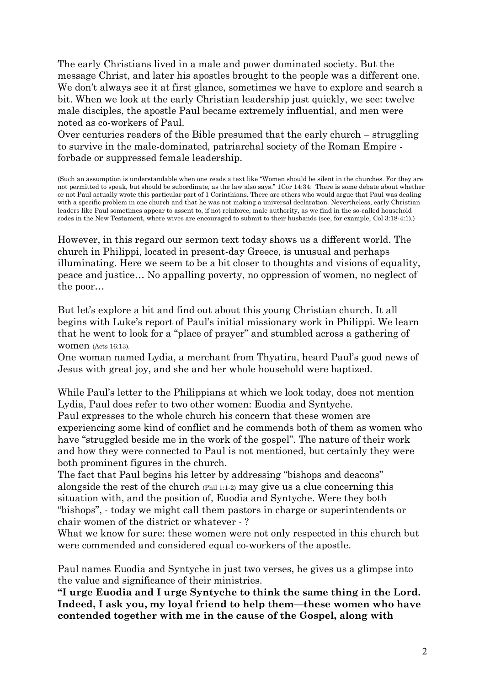The early Christians lived in a male and power dominated society. But the message Christ, and later his apostles brought to the people was a different one. We don't always see it at first glance, sometimes we have to explore and search a bit. When we look at the early Christian leadership just quickly, we see: twelve male disciples, the apostle Paul became extremely influential, and men were noted as co-workers of Paul.

Over centuries readers of the Bible presumed that the early church – struggling to survive in the male-dominated, patriarchal society of the Roman Empire forbade or suppressed female leadership.

(Such an assumption is understandable when one reads a text like "Women should be silent in the churches. For they are not permitted to speak, but should be subordinate, as the law also says.‖ [1Cor 14:34:](https://www.bibleodyssey.org/lightbox-bible-passage.aspx?passage=1Cor+14%3a34) There is some debate about whether or not Paul actually wrote this particular part of 1 Corinthians. There are others who would argue that Paul was dealing with a specific problem in one church and that he was not making a universal declaration. Nevertheless, early Christian leaders like Paul sometimes appear to assent to, if not reinforce, male authority, as we find in the so-called [household](https://www.bibleodyssey.org/en/places/related-articles/women-leaders-at-philippian-church)  [codes](https://www.bibleodyssey.org/en/places/related-articles/women-leaders-at-philippian-church) in the [New Testament,](https://www.bibleodyssey.org/en/places/related-articles/women-leaders-at-philippian-church) where wives are encouraged to submit to their husbands (see, for example, [Col 3:18-4:1\)](https://www.bibleodyssey.org/lightbox-bible-passage.aspx?passage=Col+3%3a18-4%3a1).)

However, in this regard our sermon text today shows us a different world. The church in Philippi, located in present-day Greece, is unusual and perhaps illuminating. Here we seem to be a bit closer to thoughts and visions of equality, peace and justice… No appalling poverty, no oppression of women, no neglect of the poor…

But let's explore a bit and find out about this young Christian church. It all begins with Luke's report of Paul's initial [missionary](https://www.bibleodyssey.org/en/places/related-articles/women-leaders-at-philippian-church) work in Philippi. We learn that he went to look for a "place of prayer" and stumbled across a gathering of women [\(Acts 16:13\)](https://www.bibleodyssey.org/lightbox-bible-passage.aspx?passage=Acts+16%3a13).

One woman named Lydia, a merchant from Thyatira, heard Paul's [good](https://www.bibleodyssey.org/en/places/related-articles/women-leaders-at-philippian-church) news of Jesus with great joy, and she and her whole household were baptized.

While Paul's letter to the Philippians at which we look today, does not mention Lydia, Paul does refer to two other women: Euodia and Syntyche. Paul expresses to the whole church his concern that these women are experiencing some kind of conflict and he commends both of them as women who have "struggled beside me in the work of the gospel". The nature of their work and how they were connected to Paul is not mentioned, but certainly they were both prominent figures in the church.

The fact that Paul begins his letter by addressing "bishops and deacons" alongside the rest of the church  $(Phil 1:1-2)$  may give us a clue concerning this situation with, and the position of, Euodia and Syntyche. Were they both ―bishops‖, - today we might call them pastors in charge or superintendents or chair women of the district or whatever - ?

What we know for sure: these women were not only respected in this church but were commended and considered equal co-workers of the apostle.

Paul names Euodia and Syntyche in just two verses, he gives us a glimpse into the value and significance of their ministries.

**―I urge Euodia and I urge Syntyche to think the same thing in the Lord. Indeed, I ask you, my loyal friend to help them—these women who have contended together with me in the cause of the Gospel, along with**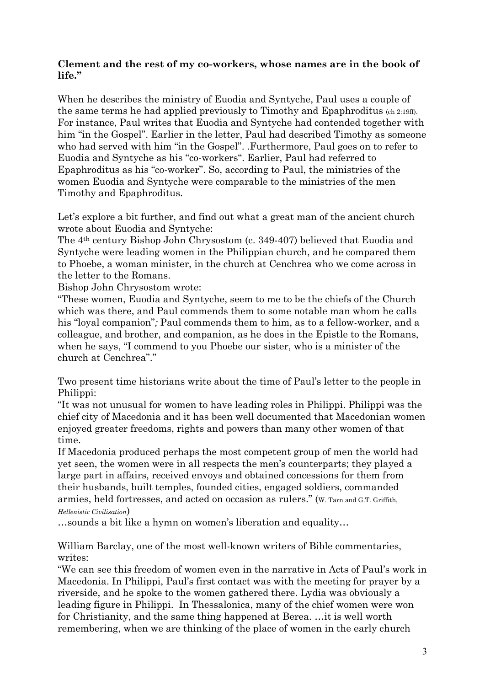## **Clement and the rest of my co-workers, whose names are in the book of**  life."

When he describes the ministry of Euodia and Syntyche, Paul uses a couple of the same terms he had applied previously to Timothy and Epaphroditus (ch 2:19ff). For instance, Paul writes that Euodia and Syntyche had contended together with him "in the Gospel". Earlier in the letter, Paul had described Timothy as someone who had served with him "in the Gospel". .Furthermore, Paul goes on to refer to Euodia and Syntyche as his "co-workers". Earlier, Paul had referred to Epaphroditus as his "co-worker". So, according to Paul, the ministries of the women Euodia and Syntyche were comparable to the ministries of the men Timothy and Epaphroditus.

Let's explore a bit further, and find out what a great man of the ancient church wrote about Euodia and Syntyche:

The 4th century Bishop John Chrysostom (c. 349-407) believed that Euodia and Syntyche were leading women in the Philippian church, and he compared them to [Phoebe, a woman minister, i](http://margmowczko.com/equality-and-gender-issues/was-phoebe-a-deacon-of-the-church-in-cenchrea-part-1/)n the church at Cenchrea who we come across in the letter to the Romans.

Bishop John Chrysostom wrote:

―These women, Euodia and Syntyche, seem to me to be the chiefs of the Church which was there, and Paul commends them to some notable man whom he calls his "loyal companion"; Paul commends them to him, as to a fellow-worker, and a colleague, and brother, and companion, as he does in the Epistle to the Romans, when he says, "I commend to you Phoebe our sister, who is a minister of the church at Cenchrea"."

Two present time historians write about the time of Paul's letter to the people in Philippi:

―It was not unusual for women to have leading roles in Philippi. Philippi was the chief city of Macedonia and it has been well documented that Macedonian women enjoyed greater freedoms, rights and powers than many other women of that time.

If Macedonia produced perhaps the most competent group of men the world had yet seen, the women were in all respects the men's counterparts; they played a large part in affairs, received envoys and obtained concessions for them from their husbands, built temples, founded cities, engaged soldiers, commanded armies, held fortresses, and acted on occasion as rulers.‖ (W. Tarn and G.T. Griffith, *Hellenistic Civilisation*)

…sounds a bit like a hymn on women's liberation and equality…

## William Barclay, one of the most well-known writers of Bible commentaries, writes:

―We can see this freedom of women even in the narrative in Acts of Paul's work in Macedonia. In Philippi, Paul's first contact was with the meeting for [prayer by a](http://margmowczko.com/equality-and-gender-issues/lydia-and-the-place-of-prayer-at-philippi/)  [riverside,](http://margmowczko.com/equality-and-gender-issues/lydia-and-the-place-of-prayer-at-philippi/) and he spoke to the women gathered there. Lydia was obviously a leading figure in Philippi. In Thessalonica, many of the chief women were won for Christianity, and the same thing happened at Berea. …it is well worth remembering, when we are thinking of the place of women in the early church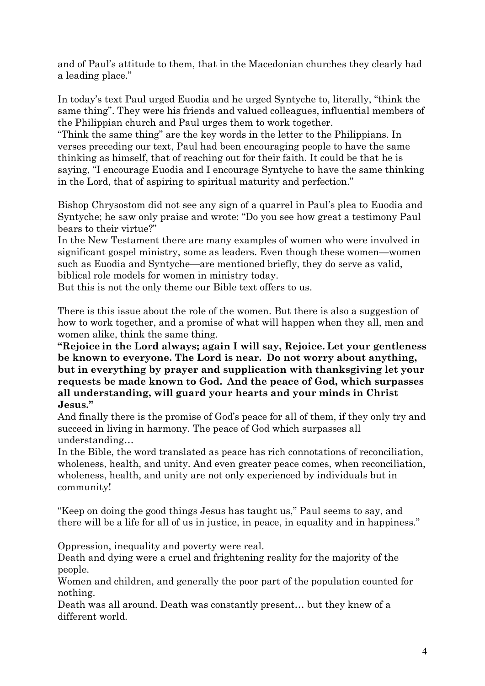and of Paul's attitude to them, that in the Macedonian churches they clearly had a leading place."

In today's text Paul urged Euodia and he urged Syntyche to, literally, "think the same thing". They were his friends and valued colleagues, influential members of the Philippian church and Paul urges them to work together.

―Think the same thing‖ are the key words in the letter to the Philippians. In verses preceding our text, Paul had been encouraging people to have the same thinking as himself, that of reaching out for their faith. It could be that he is saying, "I encourage Euodia and I encourage Syntyche to have the same thinking in the Lord, that of aspiring to spiritual maturity and perfection."

Bishop Chrysostom did not see any sign of a quarrel in Paul's plea to Euodia and Syntyche; he saw only praise and wrote: "Do you see how great a testimony Paul bears to their virtue?"

In the New Testament there are many examples of women who were involved in significant gospel ministry, some as leaders. Even though these women—women such as Euodia and Syntyche—are mentioned briefly, they do serve as valid, biblical role models for women in ministry today.

But this is not the only theme our Bible text offers to us.

There is this issue about the role of the women. But there is also a suggestion of how to work together, and a promise of what will happen when they all, men and women alike, think the same thing.

**―Rejoice in the Lord always; again I will say, Rejoice. Let your gentleness be known to everyone. The Lord is near. Do not worry about anything, but in everything by prayer and supplication with thanksgiving let your requests be made known to God. And the peace of God, which surpasses all understanding, will guard your hearts and your minds in Christ Jesus.‖**

And finally there is the promise of God's peace for all of them, if they only try and succeed in living in harmony. The peace of God which surpasses all understanding…

In the Bible, the word translated as peace has rich connotations of reconciliation, wholeness, health, and unity. And even greater peace comes, when reconciliation, wholeness, health, and unity are not only experienced by individuals but in community!

"Keep on doing the good things Jesus has taught us," Paul seems to say, and there will be a life for all of us in justice, in peace, in equality and in happiness."

Oppression, inequality and poverty were real.

Death and dying were a cruel and frightening reality for the majority of the people.

Women and children, and generally the poor part of the population counted for nothing.

Death was all around. Death was constantly present… but they knew of a different world.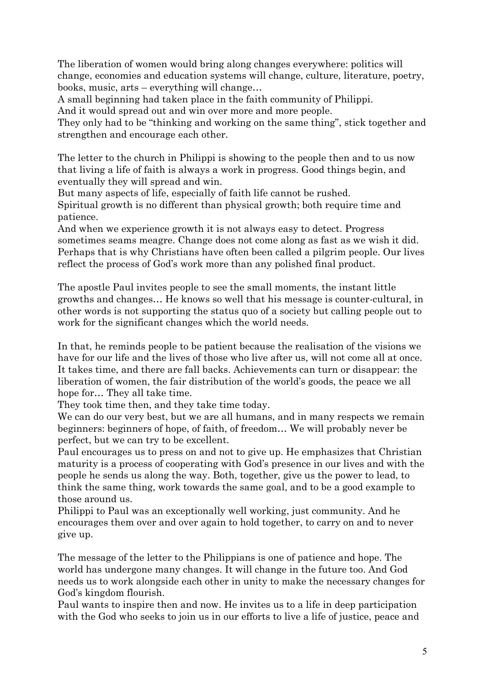The liberation of women would bring along changes everywhere: politics will change, economies and education systems will change, culture, literature, poetry, books, music, arts – everything will change…

A small beginning had taken place in the faith community of Philippi. And it would spread out and win over more and more people.

They only had to be "thinking and working on the same thing", stick together and strengthen and encourage each other.

The letter to the church in Philippi is showing to the people then and to us now that living a life of faith is always a work in progress. Good things begin, and eventually they will spread and win.

But many aspects of life, especially of faith life cannot be rushed.

Spiritual growth is no different than physical growth; both require time and patience.

And when we experience growth it is not always easy to detect. Progress sometimes seams meagre. Change does not come along as fast as we wish it did. Perhaps that is why Christians have often been called a pilgrim people. Our lives reflect the process of God's work more than any polished final product.

The apostle Paul invites people to see the small moments, the instant little growths and changes… He knows so well that his message is counter-cultural, in other words is not supporting the status quo of a society but calling people out to work for the significant changes which the world needs.

In that, he reminds people to be patient because the realisation of the visions we have for our life and the lives of those who live after us, will not come all at once. It takes time, and there are fall backs. Achievements can turn or disappear: the liberation of women, the fair distribution of the world's goods, the peace we all hope for… They all take time.

They took time then, and they take time today.

We can do our very best, but we are all humans, and in many respects we remain beginners: beginners of hope, of faith, of freedom… We will probably never be perfect, but we can try to be excellent.

Paul encourages us to press on and not to give up. He emphasizes that Christian maturity is a process of cooperating with God's presence in our lives and with the people he sends us along the way. Both, together, give us the power to lead, to think the same thing, work towards the same goal, and to be a good example to those around us.

Philippi to Paul was an exceptionally well working, just community. And he encourages them over and over again to hold together, to carry on and to never give up.

The message of the letter to the Philippians is one of patience and hope. The world has undergone many changes. It will change in the future too. And God needs us to work alongside each other in unity to make the necessary changes for God's kingdom flourish.

Paul wants to inspire then and now. He invites us to a life in deep participation with the God who seeks to join us in our efforts to live a life of justice, peace and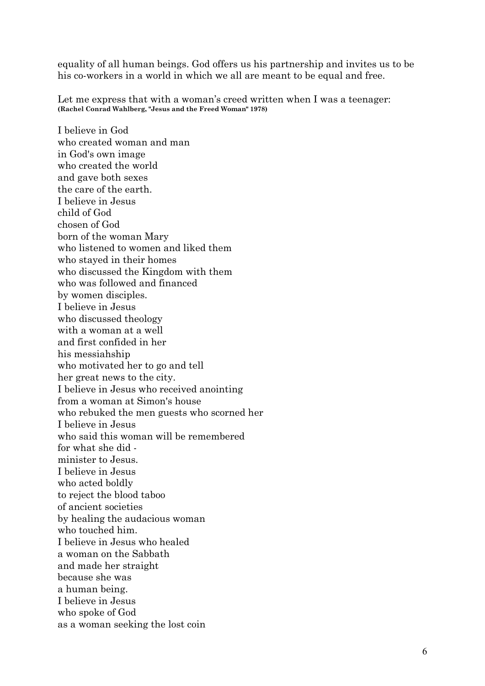equality of all human beings. God offers us his partnership and invites us to be his co-workers in a world in which we all are meant to be equal and free.

Let me express that with a woman's creed written when I was a teenager: **(Rachel Conrad Wahlberg, "Jesus and the Freed Woman" 1978)**

I believe in God who created woman and man in God's own image who created the world and gave both sexes the care of the earth. I believe in Jesus child of God chosen of God born of the woman Mary who listened to women and liked them who stayed in their homes who discussed the Kingdom with them who was followed and financed by women disciples. I believe in Jesus who discussed theology with a woman at a well and first confided in her his messiahship who motivated her to go and tell her great news to the city. I believe in Jesus who received anointing from a woman at Simon's house who rebuked the men guests who scorned her I believe in Jesus who said this woman will be remembered for what she did minister to Jesus. I believe in Jesus who acted boldly to reject the blood taboo of ancient societies by healing the audacious woman who touched him. I believe in Jesus who healed a woman on the Sabbath and made her straight because she was a human being. I believe in Jesus who spoke of God as a woman seeking the lost coin